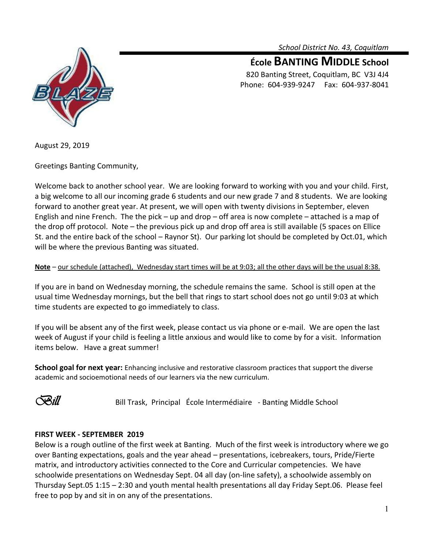*School District No. 43, Coquitlam*



**École BANTING MIDDLE School** 820 Banting Street, Coquitlam, BC V3J 4J4 Phone: 604-939-9247 Fax: 604-937-8041

August 29, 2019

Greetings Banting Community,

Welcome back to another school year. We are looking forward to working with you and your child. First, a big welcome to all our incoming grade 6 students and our new grade 7 and 8 students. We are looking forward to another great year. At present, we will open with twenty divisions in September, eleven English and nine French. The the pick – up and drop – off area is now complete – attached is a map of the drop off protocol. Note – the previous pick up and drop off area is still available (5 spaces on Ellice St. and the entire back of the school – Raynor St). Our parking lot should be completed by Oct.01, which will be where the previous Banting was situated.

# **Note** – our schedule (attached), Wednesday start times will be at 9:03; all the other days will be the usual 8:38.

If you are in band on Wednesday morning, the schedule remains the same. School is still open at the usual time Wednesday mornings, but the bell that rings to start school does not go until 9:03 at which time students are expected to go immediately to class.

If you will be absent any of the first week, please contact us via phone or e-mail. We are open the last week of August if your child is feeling a little anxious and would like to come by for a visit. Information items below. Have a great summer!

**School goal for next year:** Enhancing inclusive and restorative classroom practices that support the diverse academic and socioemotional needs of our learners via the new curriculum.



**Bill** Bill Trask, Principal École Intermédiaire - Banting Middle School

# **FIRST WEEK - SEPTEMBER 2019**

Below is a rough outline of the first week at Banting. Much of the first week is introductory where we go over Banting expectations, goals and the year ahead – presentations, icebreakers, tours, Pride/Fierte matrix, and introductory activities connected to the Core and Curricular competencies. We have schoolwide presentations on Wednesday Sept. 04 all day (on-line safety), a schoolwide assembly on Thursday Sept.05 1:15 – 2:30 and youth mental health presentations all day Friday Sept.06. Please feel free to pop by and sit in on any of the presentations.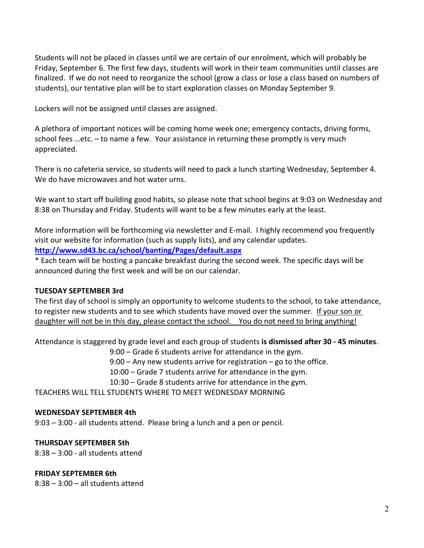Students will not be placed in classes until we are certain of our enrolment, which will probably be Friday, September 6. The first few days, students will work in their team communities until classes are finalized. If we do not need to reorganize the school (grow a class or lose a class based on numbers of students), our tentative plan will be to start exploration classes on Monday September 9.

Lockers will not be assigned until classes are assigned.

A plethora of important notices will be coming home week one; emergency contacts, driving forms, school fees …etc. – to name a few. Your assistance in returning these promptly is very much appreciated.

There is no cafeteria service, so students will need to pack a lunch starting Wednesday, September 4. We do have microwaves and hot water urns.

We want to start off building good habits, so please note that school begins at 9:03 on Wednesday and 8:38 on Thursday and Friday. Students will want to be a few minutes early at the least.

More information will be forthcoming via newsletter and E-mail. I highly recommend you frequently visit our website for information (such as supply lists), and any calendar updates.

**<http://www.sd43.bc.ca/school/banting/Pages/default.aspx>**

\* Each team will be hosting a pancake breakfast during the second week. The specific days will be announced during the first week and will be on our calendar.

# **TUESDAY SEPTEMBER 3rd**

The first day of school is simply an opportunity to welcome students to the school, to take attendance, to register new students and to see which students have moved over the summer. If your son or daughter will not be in this day, please contact the school. You do not need to bring anything!

Attendance is staggered by grade level and each group of students **is dismissed after 30 - 45 minutes**.

9:00 – Grade 6 students arrive for attendance in the gym.

9:00 – Any new students arrive for registration – go to the office.

10:00 – Grade 7 students arrive for attendance in the gym.

10:30 – Grade 8 students arrive for attendance in the gym.

TEACHERS WILL TELL STUDENTS WHERE TO MEET WEDNESDAY MORNING

# **WEDNESDAY SEPTEMBER 4th**

9:03 – 3:00 - all students attend. Please bring a lunch and a pen or pencil.

# **THURSDAY SEPTEMBER 5th**

8:38 – 3:00 - all students attend

### **FRIDAY SEPTEMBER 6th**

8:38 – 3:00 – all students attend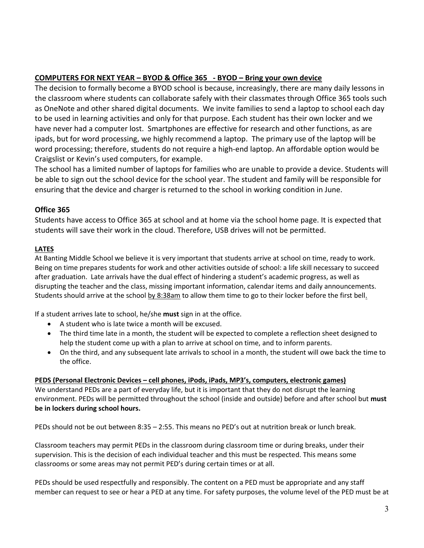# **COMPUTERS FOR NEXT YEAR – BYOD & Office 365 - BYOD – Bring your own device**

The decision to formally become a BYOD school is because, increasingly, there are many daily lessons in the classroom where students can collaborate safely with their classmates through Office 365 tools such as OneNote and other shared digital documents. We invite families to send a laptop to school each day to be used in learning activities and only for that purpose. Each student has their own locker and we have never had a computer lost. Smartphones are effective for research and other functions, as are ipads, but for word processing, we highly recommend a laptop. The primary use of the laptop will be word processing; therefore, students do not require a high-end laptop. An affordable option would be Craigslist or Kevin's used computers, for example.

The school has a limited number of laptops for families who are unable to provide a device. Students will be able to sign out the school device for the school year. The student and family will be responsible for ensuring that the device and charger is returned to the school in working condition in June.

# **Office 365**

Students have access to Office 365 at school and at home via the school home page. It is expected that students will save their work in the cloud. Therefore, USB drives will not be permitted.

# **LATES**

At Banting Middle School we believe it is very important that students arrive at school on time, ready to work. Being on time prepares students for work and other activities outside of school: a life skill necessary to succeed after graduation. Late arrivals have the dual effect of hindering a student's academic progress, as well as disrupting the teacher and the class, missing important information, calendar items and daily announcements. Students should arrive at the school by 8:38am to allow them time to go to their locker before the first bell.

If a student arrives late to school, he/she **must** sign in at the office.

- A student who is late twice a month will be excused.
- The third time late in a month, the student will be expected to complete a reflection sheet designed to help the student come up with a plan to arrive at school on time, and to inform parents.
- On the third, and any subsequent late arrivals to school in a month, the student will owe back the time to the office.

### **PEDS (Personal Electronic Devices – cell phones, iPods, iPads, MP3's, computers, electronic games)**

We understand PEDs are a part of everyday life, but it is important that they do not disrupt the learning environment. PEDs will be permitted throughout the school (inside and outside) before and after school but **must be in lockers during school hours.** 

PEDs should not be out between 8:35 – 2:55. This means no PED's out at nutrition break or lunch break.

Classroom teachers may permit PEDs in the classroom during classroom time or during breaks, under their supervision. This is the decision of each individual teacher and this must be respected. This means some classrooms or some areas may not permit PED's during certain times or at all.

PEDs should be used respectfully and responsibly. The content on a PED must be appropriate and any staff member can request to see or hear a PED at any time. For safety purposes, the volume level of the PED must be at